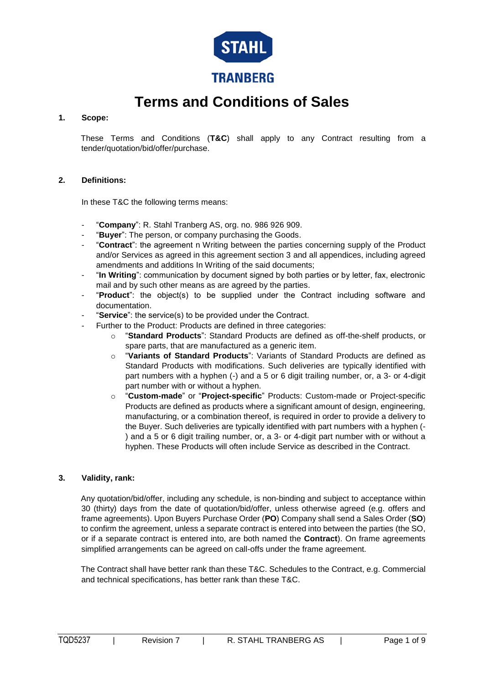

# **Terms and Conditions of Sales**

# **1. Scope:**

These Terms and Conditions (**T&C**) shall apply to any Contract resulting from a tender/quotation/bid/offer/purchase.

# **2. Definitions:**

In these T&C the following terms means:

- "**Company**": R. Stahl Tranberg AS, org. no. 986 926 909.
- "Buyer": The person, or company purchasing the Goods.
- "**Contract**": the agreement n Writing between the parties concerning supply of the Product and/or Services as agreed in this agreement section 3 and all appendices, including agreed amendments and additions In Writing of the said documents;
- "**In Writing**": communication by document signed by both parties or by letter, fax, electronic mail and by such other means as are agreed by the parties.
- "**Product**": the object(s) to be supplied under the Contract including software and documentation.
- "Service": the service(s) to be provided under the Contract.
	- Further to the Product: Products are defined in three categories:
		- o "**Standard Products**": Standard Products are defined as off-the-shelf products, or spare parts, that are manufactured as a generic item.
		- o "**Variants of Standard Products**": Variants of Standard Products are defined as Standard Products with modifications. Such deliveries are typically identified with part numbers with a hyphen (-) and a 5 or 6 digit trailing number, or, a 3- or 4-digit part number with or without a hyphen.
		- o "**Custom-made**" or "**Project-specific**" Products: Custom-made or Project-specific Products are defined as products where a significant amount of design, engineering, manufacturing, or a combination thereof, is required in order to provide a delivery to the Buyer. Such deliveries are typically identified with part numbers with a hyphen (- ) and a 5 or 6 digit trailing number, or, a 3- or 4-digit part number with or without a hyphen. These Products will often include Service as described in the Contract.

# **3. Validity, rank:**

Any quotation/bid/offer, including any schedule, is non-binding and subject to acceptance within 30 (thirty) days from the date of quotation/bid/offer, unless otherwise agreed (e.g. offers and frame agreements). Upon Buyers Purchase Order (**PO**) Company shall send a Sales Order (**SO**) to confirm the agreement, unless a separate contract is entered into between the parties (the SO, or if a separate contract is entered into, are both named the **Contract**). On frame agreements simplified arrangements can be agreed on call-offs under the frame agreement.

The Contract shall have better rank than these T&C. Schedules to the Contract, e.g. Commercial and technical specifications, has better rank than these T&C.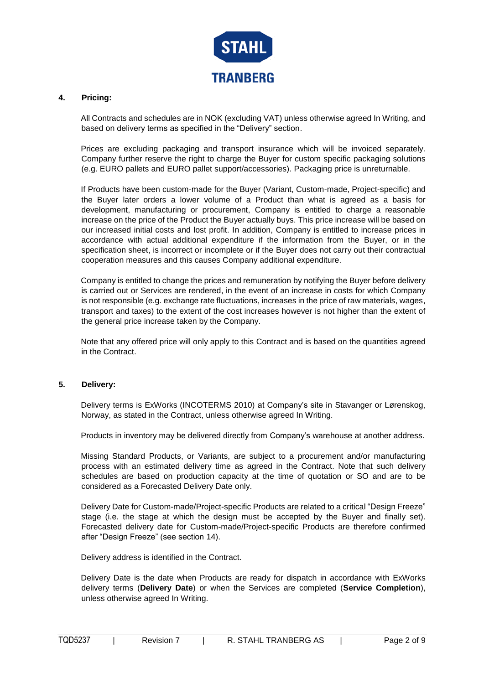

# **4. Pricing:**

All Contracts and schedules are in NOK (excluding VAT) unless otherwise agreed In Writing, and based on delivery terms as specified in the "Delivery" section.

Prices are excluding packaging and transport insurance which will be invoiced separately. Company further reserve the right to charge the Buyer for custom specific packaging solutions (e.g. EURO pallets and EURO pallet support/accessories). Packaging price is unreturnable.

If Products have been custom-made for the Buyer (Variant, Custom-made, Project-specific) and the Buyer later orders a lower volume of a Product than what is agreed as a basis for development, manufacturing or procurement, Company is entitled to charge a reasonable increase on the price of the Product the Buyer actually buys. This price increase will be based on our increased initial costs and lost profit. In addition, Company is entitled to increase prices in accordance with actual additional expenditure if the information from the Buyer, or in the specification sheet, is incorrect or incomplete or if the Buyer does not carry out their contractual cooperation measures and this causes Company additional expenditure.

Company is entitled to change the prices and remuneration by notifying the Buyer before delivery is carried out or Services are rendered, in the event of an increase in costs for which Company is not responsible (e.g. exchange rate fluctuations, increases in the price of raw materials, wages, transport and taxes) to the extent of the cost increases however is not higher than the extent of the general price increase taken by the Company.

Note that any offered price will only apply to this Contract and is based on the quantities agreed in the Contract.

# **5. Delivery:**

Delivery terms is ExWorks (INCOTERMS 2010) at Company's site in Stavanger or Lørenskog, Norway, as stated in the Contract, unless otherwise agreed In Writing.

Products in inventory may be delivered directly from Company's warehouse at another address.

Missing Standard Products, or Variants, are subject to a procurement and/or manufacturing process with an estimated delivery time as agreed in the Contract. Note that such delivery schedules are based on production capacity at the time of quotation or SO and are to be considered as a Forecasted Delivery Date only.

Delivery Date for Custom-made/Project-specific Products are related to a critical "Design Freeze" stage (i.e. the stage at which the design must be accepted by the Buyer and finally set). Forecasted delivery date for Custom-made/Project-specific Products are therefore confirmed after "Design Freeze" (see section 14).

Delivery address is identified in the Contract.

Delivery Date is the date when Products are ready for dispatch in accordance with ExWorks delivery terms (**Delivery Date**) or when the Services are completed (**Service Completion**), unless otherwise agreed In Writing.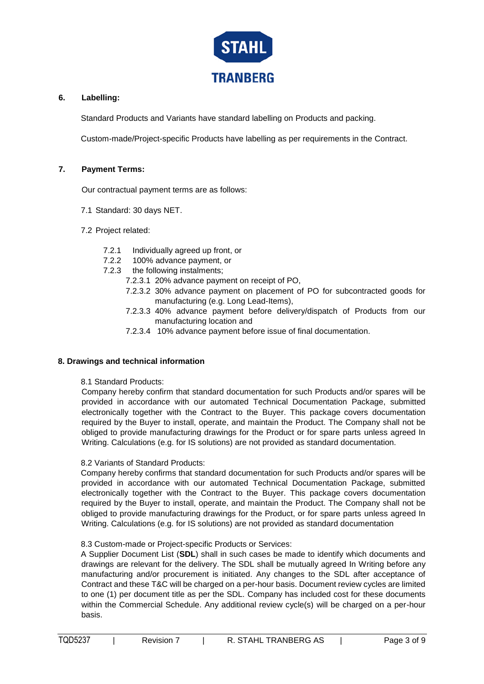

# **6. Labelling:**

Standard Products and Variants have standard labelling on Products and packing.

Custom-made/Project-specific Products have labelling as per requirements in the Contract.

# **7. Payment Terms:**

Our contractual payment terms are as follows:

- 7.1 Standard: 30 days NET.
- 7.2 Project related:
	- 7.2.1 Individually agreed up front, or
	- 7.2.2 100% advance payment, or
	- 7.2.3 the following instalments;
		- 7.2.3.1 20% advance payment on receipt of PO,
		- 7.2.3.2 30% advance payment on placement of PO for subcontracted goods for manufacturing (e.g. Long Lead-Items),
		- 7.2.3.3 40% advance payment before delivery/dispatch of Products from our manufacturing location and
		- 7.2.3.4 10% advance payment before issue of final documentation.

# **8. Drawings and technical information**

8.1 Standard Products:

Company hereby confirm that standard documentation for such Products and/or spares will be provided in accordance with our automated Technical Documentation Package, submitted electronically together with the Contract to the Buyer. This package covers documentation required by the Buyer to install, operate, and maintain the Product. The Company shall not be obliged to provide manufacturing drawings for the Product or for spare parts unless agreed In Writing. Calculations (e.g. for IS solutions) are not provided as standard documentation.

# 8.2 Variants of Standard Products:

Company hereby confirms that standard documentation for such Products and/or spares will be provided in accordance with our automated Technical Documentation Package, submitted electronically together with the Contract to the Buyer. This package covers documentation required by the Buyer to install, operate, and maintain the Product. The Company shall not be obliged to provide manufacturing drawings for the Product, or for spare parts unless agreed In Writing. Calculations (e.g. for IS solutions) are not provided as standard documentation

8.3 Custom-made or Project-specific Products or Services:

A Supplier Document List (**SDL**) shall in such cases be made to identify which documents and drawings are relevant for the delivery. The SDL shall be mutually agreed In Writing before any manufacturing and/or procurement is initiated. Any changes to the SDL after acceptance of Contract and these T&C will be charged on a per-hour basis. Document review cycles are limited to one (1) per document title as per the SDL. Company has included cost for these documents within the Commercial Schedule. Any additional review cycle(s) will be charged on a per-hour basis.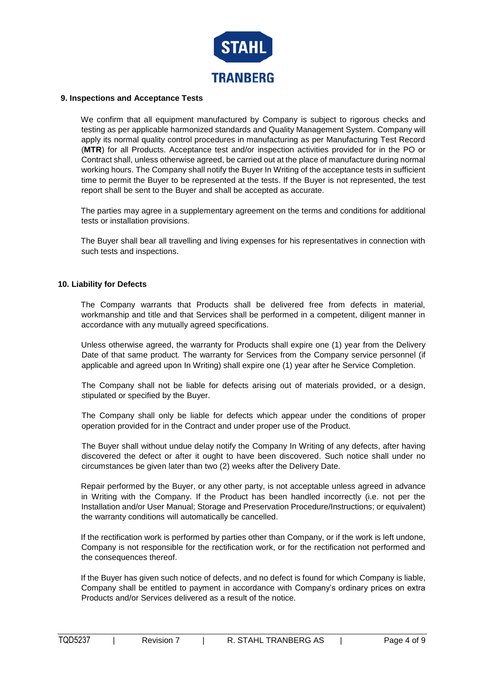

#### **9. Inspections and Acceptance Tests**

We confirm that all equipment manufactured by Company is subject to rigorous checks and testing as per applicable harmonized standards and Quality Management System. Company will apply its normal quality control procedures in manufacturing as per Manufacturing Test Record (**MTR**) for all Products. Acceptance test and/or inspection activities provided for in the PO or Contract shall, unless otherwise agreed, be carried out at the place of manufacture during normal working hours. The Company shall notify the Buyer In Writing of the acceptance tests in sufficient time to permit the Buyer to be represented at the tests. If the Buyer is not represented, the test report shall be sent to the Buyer and shall be accepted as accurate.

The parties may agree in a supplementary agreement on the terms and conditions for additional tests or installation provisions.

The Buyer shall bear all travelling and living expenses for his representatives in connection with such tests and inspections.

#### **10. Liability for Defects**

The Company warrants that Products shall be delivered free from defects in material, workmanship and title and that Services shall be performed in a competent, diligent manner in accordance with any mutually agreed specifications.

Unless otherwise agreed, the warranty for Products shall expire one (1) year from the Delivery Date of that same product. The warranty for Services from the Company service personnel (if applicable and agreed upon In Writing) shall expire one (1) year after he Service Completion.

The Company shall not be liable for defects arising out of materials provided, or a design, stipulated or specified by the Buyer.

The Company shall only be liable for defects which appear under the conditions of proper operation provided for in the Contract and under proper use of the Product.

The Buyer shall without undue delay notify the Company In Writing of any defects, after having discovered the defect or after it ought to have been discovered. Such notice shall under no circumstances be given later than two (2) weeks after the Delivery Date.

Repair performed by the Buyer, or any other party, is not acceptable unless agreed in advance in Writing with the Company. If the Product has been handled incorrectly (i.e. not per the Installation and/or User Manual; Storage and Preservation Procedure/Instructions; or equivalent) the warranty conditions will automatically be cancelled.

If the rectification work is performed by parties other than Company, or if the work is left undone, Company is not responsible for the rectification work, or for the rectification not performed and the consequences thereof.

If the Buyer has given such notice of defects, and no defect is found for which Company is liable, Company shall be entitled to payment in accordance with Company's ordinary prices on extra Products and/or Services delivered as a result of the notice.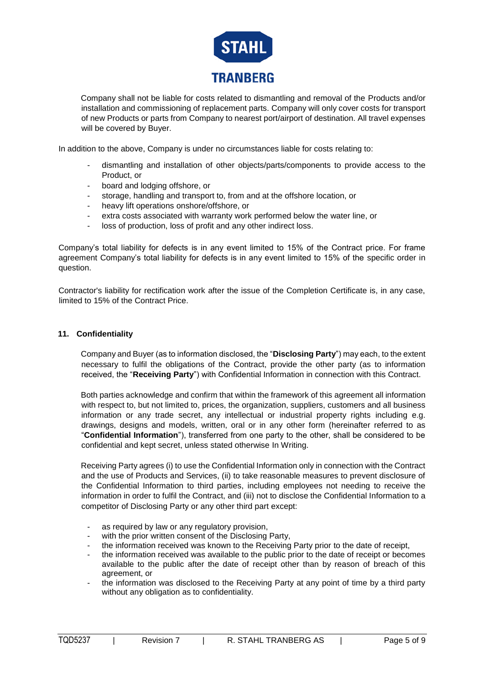

Company shall not be liable for costs related to dismantling and removal of the Products and/or installation and commissioning of replacement parts. Company will only cover costs for transport of new Products or parts from Company to nearest port/airport of destination. All travel expenses will be covered by Buyer.

In addition to the above, Company is under no circumstances liable for costs relating to:

- dismantling and installation of other objects/parts/components to provide access to the Product, or
- board and lodging offshore, or
- storage, handling and transport to, from and at the offshore location, or
- heavy lift operations onshore/offshore, or
- extra costs associated with warranty work performed below the water line, or
- loss of production, loss of profit and any other indirect loss.

Company's total liability for defects is in any event limited to 15% of the Contract price. For frame agreement Company's total liability for defects is in any event limited to 15% of the specific order in question.

Contractor's liability for rectification work after the issue of the Completion Certificate is, in any case, limited to 15% of the Contract Price.

#### **11. Confidentiality**

Company and Buyer (as to information disclosed, the "**Disclosing Party**") may each, to the extent necessary to fulfil the obligations of the Contract, provide the other party (as to information received, the "**Receiving Party**") with Confidential Information in connection with this Contract.

Both parties acknowledge and confirm that within the framework of this agreement all information with respect to, but not limited to, prices, the organization, suppliers, customers and all business information or any trade secret, any intellectual or industrial property rights including e.g. drawings, designs and models, written, oral or in any other form (hereinafter referred to as "**Confidential Information**"), transferred from one party to the other, shall be considered to be confidential and kept secret, unless stated otherwise In Writing.

Receiving Party agrees (i) to use the Confidential Information only in connection with the Contract and the use of Products and Services, (ii) to take reasonable measures to prevent disclosure of the Confidential Information to third parties, including employees not needing to receive the information in order to fulfil the Contract, and (iii) not to disclose the Confidential Information to a competitor of Disclosing Party or any other third part except:

- as required by law or any requiatory provision.
- with the prior written consent of the Disclosing Party.
- the information received was known to the Receiving Party prior to the date of receipt,
- the information received was available to the public prior to the date of receipt or becomes available to the public after the date of receipt other than by reason of breach of this agreement, or
- the information was disclosed to the Receiving Party at any point of time by a third party without any obligation as to confidentiality.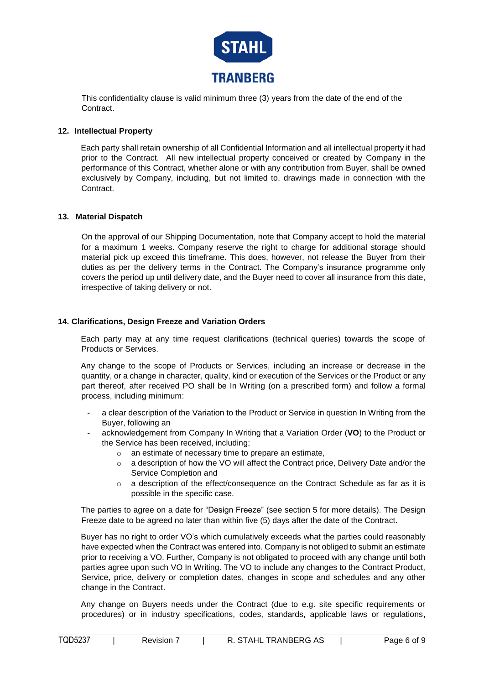

This confidentiality clause is valid minimum three (3) years from the date of the end of the **Contract.** 

# **12. Intellectual Property**

Each party shall retain ownership of all Confidential Information and all intellectual property it had prior to the Contract. All new intellectual property conceived or created by Company in the performance of this Contract, whether alone or with any contribution from Buyer, shall be owned exclusively by Company, including, but not limited to, drawings made in connection with the Contract.

# **13. Material Dispatch**

On the approval of our Shipping Documentation, note that Company accept to hold the material for a maximum 1 weeks. Company reserve the right to charge for additional storage should material pick up exceed this timeframe. This does, however, not release the Buyer from their duties as per the delivery terms in the Contract. The Company's insurance programme only covers the period up until delivery date, and the Buyer need to cover all insurance from this date, irrespective of taking delivery or not.

#### **14. Clarifications, Design Freeze and Variation Orders**

Each party may at any time request clarifications (technical queries) towards the scope of Products or Services.

Any change to the scope of Products or Services, including an increase or decrease in the quantity, or a change in character, quality, kind or execution of the Services or the Product or any part thereof, after received PO shall be In Writing (on a prescribed form) and follow a formal process, including minimum:

- a clear description of the Variation to the Product or Service in question In Writing from the Buyer, following an
- acknowledgement from Company In Writing that a Variation Order (**VO**) to the Product or the Service has been received, including;
	- o an estimate of necessary time to prepare an estimate,
	- $\circ$  a description of how the VO will affect the Contract price, Delivery Date and/or the Service Completion and
	- $\circ$  a description of the effect/consequence on the Contract Schedule as far as it is possible in the specific case.

The parties to agree on a date for "Design Freeze" (see section 5 for more details). The Design Freeze date to be agreed no later than within five (5) days after the date of the Contract.

Buyer has no right to order VO's which cumulatively exceeds what the parties could reasonably have expected when the Contract was entered into. Company is not obliged to submit an estimate prior to receiving a VO. Further, Company is not obligated to proceed with any change until both parties agree upon such VO In Writing. The VO to include any changes to the Contract Product, Service, price, delivery or completion dates, changes in scope and schedules and any other change in the Contract.

Any change on Buyers needs under the Contract (due to e.g. site specific requirements or procedures) or in industry specifications, codes, standards, applicable laws or regulations,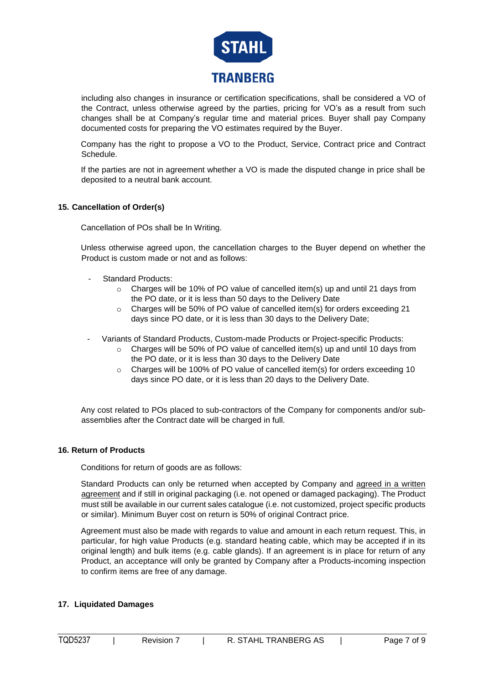

including also changes in insurance or certification specifications, shall be considered a VO of the Contract, unless otherwise agreed by the parties, pricing for VO's as a result from such changes shall be at Company's regular time and material prices. Buyer shall pay Company documented costs for preparing the VO estimates required by the Buyer.

Company has the right to propose a VO to the Product, Service, Contract price and Contract Schedule.

If the parties are not in agreement whether a VO is made the disputed change in price shall be deposited to a neutral bank account.

# **15. Cancellation of Order(s)**

Cancellation of POs shall be In Writing.

Unless otherwise agreed upon, the cancellation charges to the Buyer depend on whether the Product is custom made or not and as follows:

- Standard Products:
	- o Charges will be 10% of PO value of cancelled item(s) up and until 21 days from the PO date, or it is less than 50 days to the Delivery Date
	- o Charges will be 50% of PO value of cancelled item(s) for orders exceeding 21 days since PO date, or it is less than 30 days to the Delivery Date;
- Variants of Standard Products, Custom-made Products or Project-specific Products:
	- $\circ$  Charges will be 50% of PO value of cancelled item(s) up and until 10 days from the PO date, or it is less than 30 days to the Delivery Date
	- $\circ$  Charges will be 100% of PO value of cancelled item(s) for orders exceeding 10 days since PO date, or it is less than 20 days to the Delivery Date.

Any cost related to POs placed to sub-contractors of the Company for components and/or subassemblies after the Contract date will be charged in full.

# **16. Return of Products**

Conditions for return of goods are as follows:

Standard Products can only be returned when accepted by Company and agreed in a written agreement and if still in original packaging (i.e. not opened or damaged packaging). The Product must still be available in our current sales catalogue (i.e. not customized, project specific products or similar). Minimum Buyer cost on return is 50% of original Contract price.

Agreement must also be made with regards to value and amount in each return request. This, in particular, for high value Products (e.g. standard heating cable, which may be accepted if in its original length) and bulk items (e.g. cable glands). If an agreement is in place for return of any Product, an acceptance will only be granted by Company after a Products-incoming inspection to confirm items are free of any damage.

# **17. Liquidated Damages**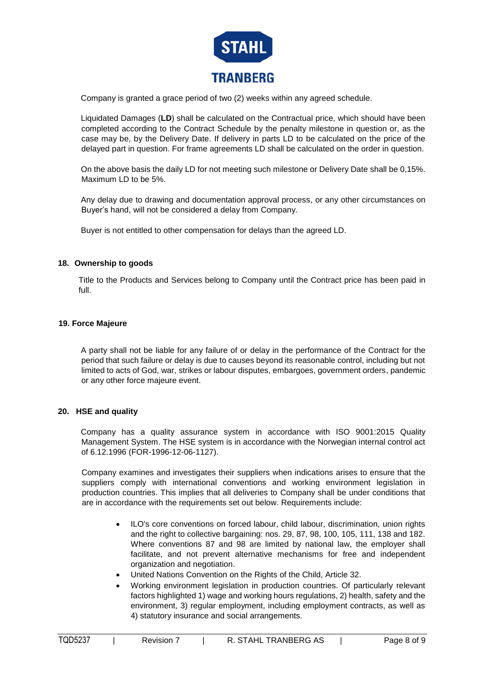

Company is granted a grace period of two (2) weeks within any agreed schedule.

Liquidated Damages (**LD**) shall be calculated on the Contractual price, which should have been completed according to the Contract Schedule by the penalty milestone in question or, as the case may be, by the Delivery Date. If delivery in parts LD to be calculated on the price of the delayed part in question. For frame agreements LD shall be calculated on the order in question.

On the above basis the daily LD for not meeting such milestone or Delivery Date shall be 0,15%. Maximum LD to be 5%.

Any delay due to drawing and documentation approval process, or any other circumstances on Buyer's hand, will not be considered a delay from Company.

Buyer is not entitled to other compensation for delays than the agreed LD.

# **18. Ownership to goods**

Title to the Products and Services belong to Company until the Contract price has been paid in full.

#### **19. Force Majeure**

A party shall not be liable for any failure of or delay in the performance of the Contract for the period that such failure or delay is due to causes beyond its reasonable control, including but not limited to acts of God, war, strikes or labour disputes, embargoes, government orders, pandemic or any other force majeure event.

# **20. HSE and quality**

Company has a quality assurance system in accordance with ISO 9001:2015 Quality Management System. The HSE system is in accordance with the Norwegian internal control act of 6.12.1996 (FOR-1996-12-06-1127).

Company examines and investigates their suppliers when indications arises to ensure that the suppliers comply with international conventions and working environment legislation in production countries. This implies that all deliveries to Company shall be under conditions that are in accordance with the requirements set out below. Requirements include:

- ILO's core conventions on forced labour, child labour, discrimination, union rights and the right to collective bargaining: nos. 29, 87, 98, 100, 105, 111, 138 and 182. Where conventions 87 and 98 are limited by national law, the employer shall facilitate, and not prevent alternative mechanisms for free and independent organization and negotiation.
- United Nations Convention on the Rights of the Child, Article 32.
- Working environment legislation in production countries. Of particularly relevant factors highlighted 1) wage and working hours regulations, 2) health, safety and the environment, 3) regular employment, including employment contracts, as well as 4) statutory insurance and social arrangements.